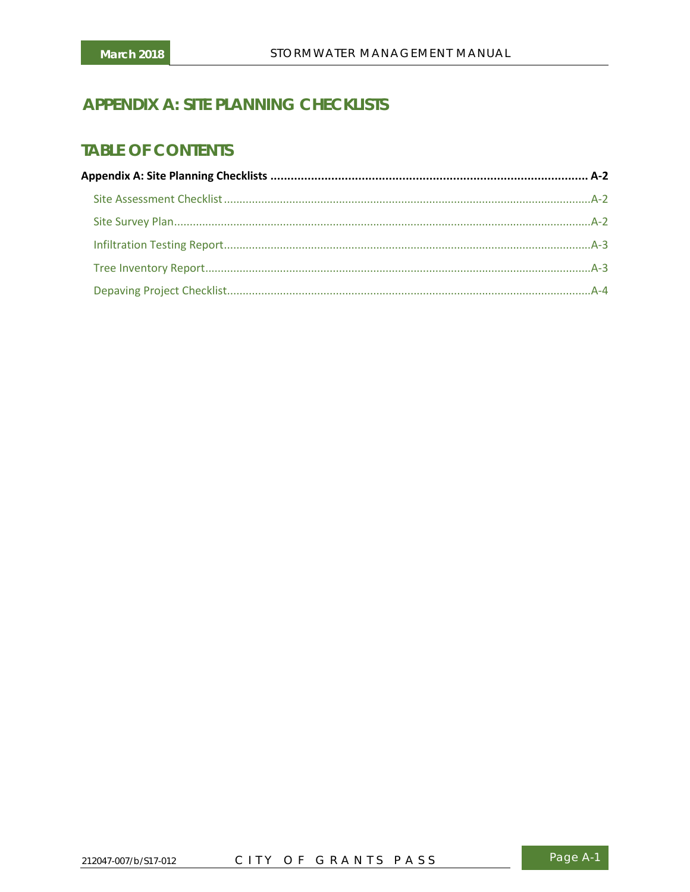# **APPENDIX A: SITE PLANNING CHECKLISTS**

## **TABLE OF CONTENTS**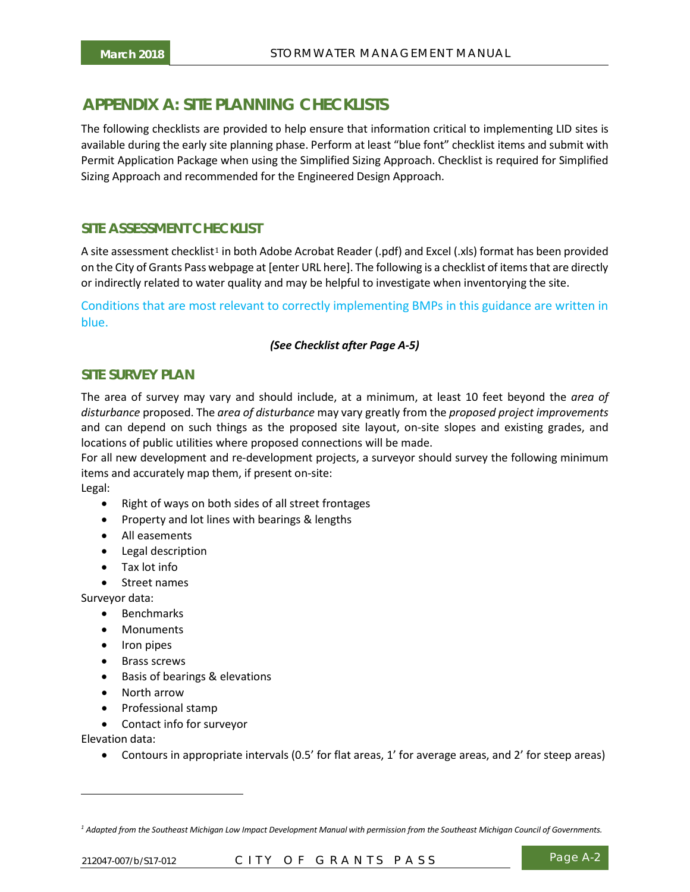## <span id="page-1-0"></span>**AAPPENDIX A: SITE PLANNING CHECKLISTS**

The following checklists are provided to help ensure that information critical to implementing LID sites is available during the early site planning phase. Perform at least "blue font" checklist items and submit with Permit Application Package when using the Simplified Sizing Approach. Checklist is required for Simplified Sizing Approach and recommended for the Engineered Design Approach.

### <span id="page-1-1"></span>**SITE ASSESSMENT CHECKLIST**

A site assessment checklist<sup>1</sup> in both Adobe Acrobat Reader (.pdf) and Excel (.xls) format has been provided on the City of Grants Pass [we](#page-1-3)bpage at [enter URL here]. The following is a checklist of items that are directly or indirectly related to water quality and may be helpful to investigate when inventorying the site.

Conditions that are most relevant to correctly implementing BMPs in this guidance are written in blue.

#### *(See Checklist after Page A-5)*

#### <span id="page-1-2"></span>**SITE SURVEY PLAN**

The area of survey may vary and should include, at a minimum, at least 10 feet beyond the *area of disturbance* proposed. The *area of disturbance* may vary greatly from the *proposed project improvements* and can depend on such things as the proposed site layout, on-site slopes and existing grades, and locations of public utilities where proposed connections will be made.

For all new development and re-development projects, a surveyor should survey the following minimum items and accurately map them, if present on-site:

Legal:

- Right of ways on both sides of all street frontages
- Property and lot lines with bearings & lengths
- All easements
- Legal description
- Tax lot info
- Street names

Surveyor data:

- Benchmarks
- Monuments
- Iron pipes
- Brass screws
- Basis of bearings & elevations
- North arrow
- Professional stamp
- Contact info for surveyor

Elevation data:

-

• Contours in appropriate intervals (0.5' for flat areas, 1' for average areas, and 2' for steep areas)

<span id="page-1-3"></span>*<sup>1</sup> Adapted from the Southeast Michigan Low Impact Development Manual with permission from the Southeast Michigan Council of Governments.*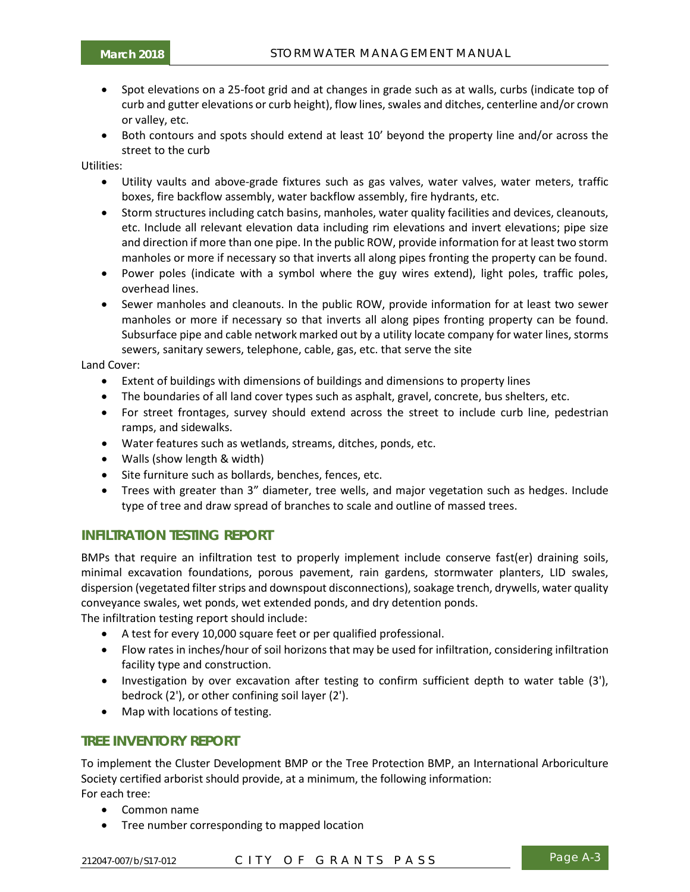- Spot elevations on a 25-foot grid and at changes in grade such as at walls, curbs (indicate top of curb and gutter elevations or curb height), flow lines, swales and ditches, centerline and/or crown or valley, etc.
- Both contours and spots should extend at least 10' beyond the property line and/or across the street to the curb

Utilities:

- Utility vaults and above-grade fixtures such as gas valves, water valves, water meters, traffic boxes, fire backflow assembly, water backflow assembly, fire hydrants, etc.
- Storm structures including catch basins, manholes, water quality facilities and devices, cleanouts, etc. Include all relevant elevation data including rim elevations and invert elevations; pipe size and direction if more than one pipe. In the public ROW, provide information for at least two storm manholes or more if necessary so that inverts all along pipes fronting the property can be found.
- Power poles (indicate with a symbol where the guy wires extend), light poles, traffic poles, overhead lines.
- Sewer manholes and cleanouts. In the public ROW, provide information for at least two sewer manholes or more if necessary so that inverts all along pipes fronting property can be found. Subsurface pipe and cable network marked out by a utility locate company for water lines, storms sewers, sanitary sewers, telephone, cable, gas, etc. that serve the site

Land Cover:

- Extent of buildings with dimensions of buildings and dimensions to property lines
- The boundaries of all land cover types such as asphalt, gravel, concrete, bus shelters, etc.
- For street frontages, survey should extend across the street to include curb line, pedestrian ramps, and sidewalks.
- Water features such as wetlands, streams, ditches, ponds, etc.
- Walls (show length & width)
- Site furniture such as bollards, benches, fences, etc.
- Trees with greater than 3" diameter, tree wells, and major vegetation such as hedges. Include type of tree and draw spread of branches to scale and outline of massed trees.

#### <span id="page-2-0"></span>**INFILTRATION TESTING REPORT**

BMPs that require an infiltration test to properly implement include conserve fast(er) draining soils, minimal excavation foundations, porous pavement, rain gardens, stormwater planters, LID swales, dispersion (vegetated filter strips and downspout disconnections), soakage trench, drywells, water quality conveyance swales, wet ponds, wet extended ponds, and dry detention ponds.

The infiltration testing report should include:

- A test for every 10,000 square feet or per qualified professional.
- Flow rates in inches/hour of soil horizons that may be used for infiltration, considering infiltration facility type and construction.
- Investigation by over excavation after testing to confirm sufficient depth to water table (3'), bedrock (2'), or other confining soil layer (2').
- Map with locations of testing.

#### <span id="page-2-1"></span>**TREE INVENTORY REPORT**

To implement the Cluster Development BMP or the Tree Protection BMP, an International Arboriculture Society certified arborist should provide, at a minimum, the following information: For each tree:

- Common name
- Tree number corresponding to mapped location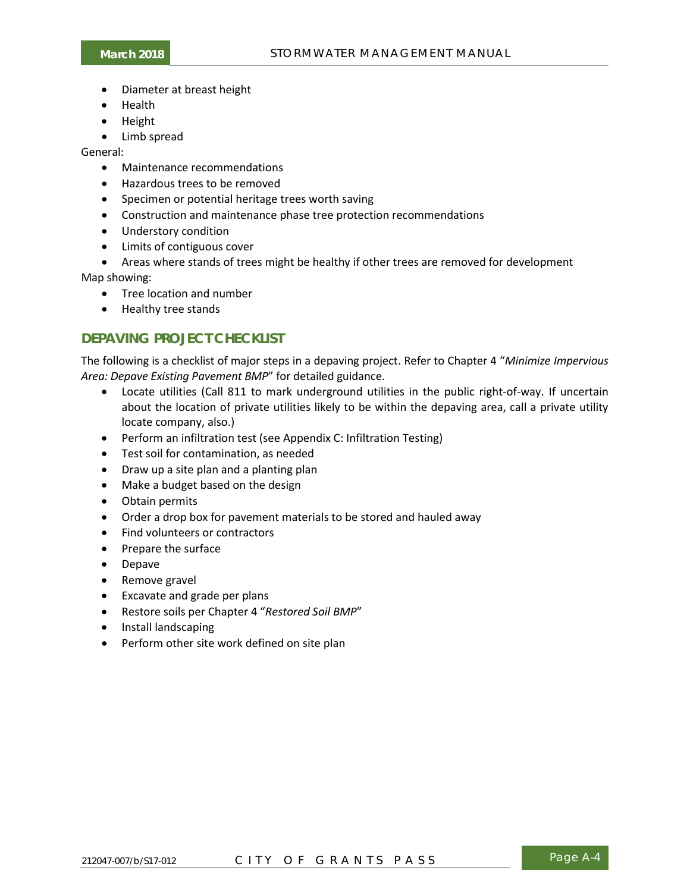- Diameter at breast height
- Health
- Height
- Limb spread

General:

- Maintenance recommendations
- Hazardous trees to be removed
- Specimen or potential heritage trees worth saving
- Construction and maintenance phase tree protection recommendations
- Understory condition
- Limits of contiguous cover
- Areas where stands of trees might be healthy if other trees are removed for development

Map showing:

- Tree location and number
- Healthy tree stands

### <span id="page-3-0"></span>**DEPAVING PROJECT CHECKLIST**

The following is a checklist of major steps in a depaving project. Refer to Chapter 4 "*Minimize Impervious Area: Depave Existing Pavement BMP*" for detailed guidance.

- Locate utilities (Call 811 to mark underground utilities in the public right-of-way. If uncertain about the location of private utilities likely to be within the depaving area, call a private utility locate company, also.)
- Perform an infiltration test (see Appendix C: Infiltration Testing)
- Test soil for contamination, as needed
- Draw up a site plan and a planting plan
- Make a budget based on the design
- Obtain permits
- Order a drop box for pavement materials to be stored and hauled away
- Find volunteers or contractors
- Prepare the surface
- Depave
- Remove gravel
- Excavate and grade per plans
- Restore soils per Chapter 4 "*Restored Soil BMP*"
- Install landscaping
- Perform other site work defined on site plan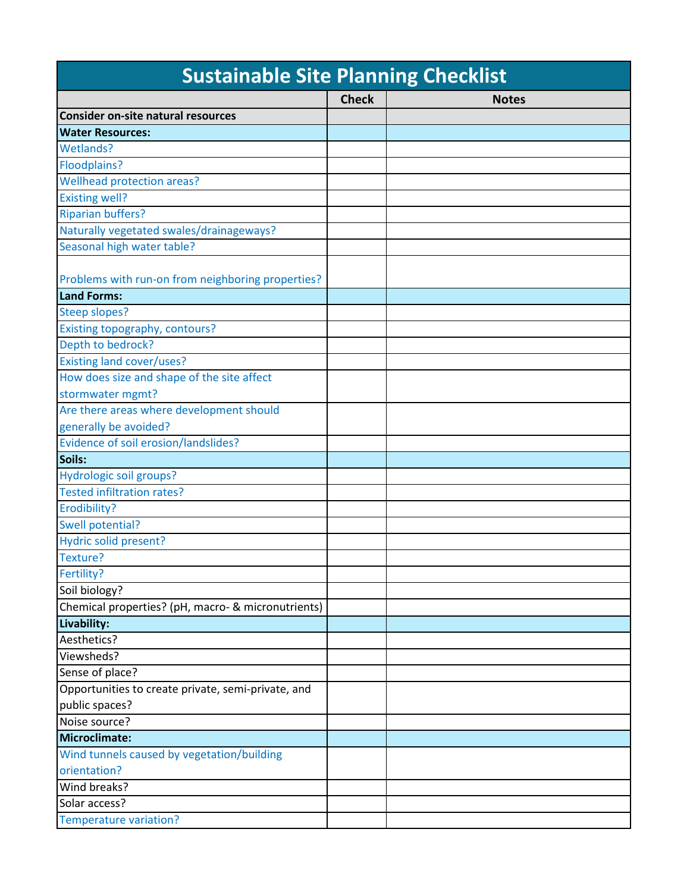| <b>Sustainable Site Planning Checklist</b>         |              |              |
|----------------------------------------------------|--------------|--------------|
|                                                    | <b>Check</b> | <b>Notes</b> |
| Consider on-site natural resources                 |              |              |
| <b>Water Resources:</b>                            |              |              |
| Wetlands?                                          |              |              |
| <b>Floodplains?</b>                                |              |              |
| Wellhead protection areas?                         |              |              |
| <b>Existing well?</b>                              |              |              |
| <b>Riparian buffers?</b>                           |              |              |
| Naturally vegetated swales/drainageways?           |              |              |
| Seasonal high water table?                         |              |              |
| Problems with run-on from neighboring properties?  |              |              |
| <b>Land Forms:</b>                                 |              |              |
| <b>Steep slopes?</b>                               |              |              |
| Existing topography, contours?                     |              |              |
| Depth to bedrock?                                  |              |              |
| <b>Existing land cover/uses?</b>                   |              |              |
| How does size and shape of the site affect         |              |              |
| stormwater mgmt?                                   |              |              |
| Are there areas where development should           |              |              |
| generally be avoided?                              |              |              |
| Evidence of soil erosion/landslides?               |              |              |
| Soils:                                             |              |              |
| Hydrologic soil groups?                            |              |              |
| <b>Tested infiltration rates?</b>                  |              |              |
| Erodibility?                                       |              |              |
| Swell potential?                                   |              |              |
| Hydric solid present?                              |              |              |
| Texture?                                           |              |              |
| Fertility?                                         |              |              |
| Soil biology?                                      |              |              |
| Chemical properties? (pH, macro- & micronutrients) |              |              |
| Livability:                                        |              |              |
| Aesthetics?                                        |              |              |
| Viewsheds?                                         |              |              |
| Sense of place?                                    |              |              |
| Opportunities to create private, semi-private, and |              |              |
| public spaces?                                     |              |              |
| Noise source?                                      |              |              |
| Microclimate:                                      |              |              |
| Wind tunnels caused by vegetation/building         |              |              |
| orientation?                                       |              |              |
| Wind breaks?                                       |              |              |
| Solar access?                                      |              |              |
| <b>Temperature variation?</b>                      |              |              |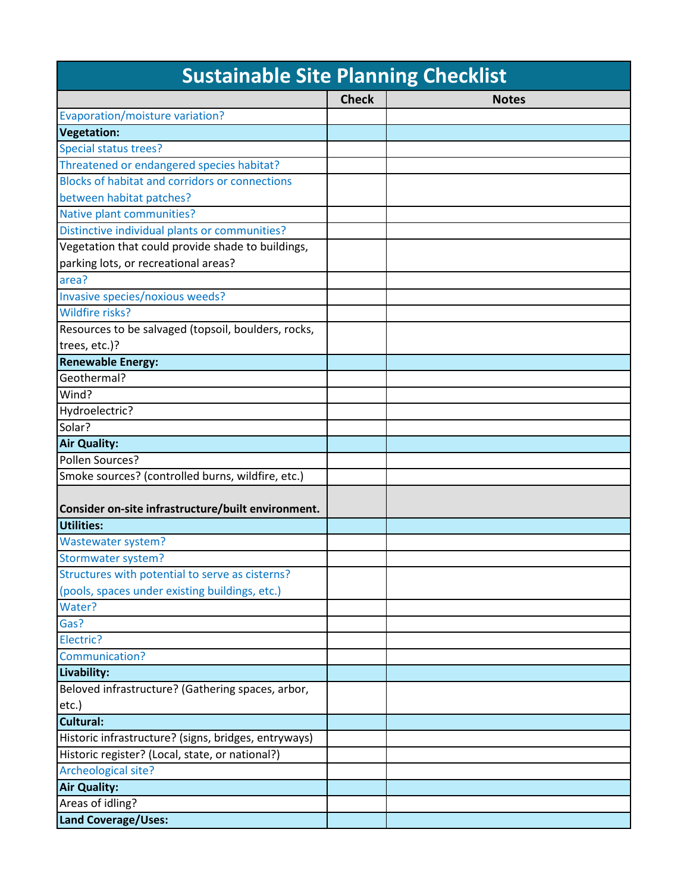| <b>Sustainable Site Planning Checklist</b>           |              |              |
|------------------------------------------------------|--------------|--------------|
|                                                      | <b>Check</b> | <b>Notes</b> |
| Evaporation/moisture variation?                      |              |              |
| <b>Vegetation:</b>                                   |              |              |
| Special status trees?                                |              |              |
| Threatened or endangered species habitat?            |              |              |
| Blocks of habitat and corridors or connections       |              |              |
| between habitat patches?                             |              |              |
| Native plant communities?                            |              |              |
| Distinctive individual plants or communities?        |              |              |
| Vegetation that could provide shade to buildings,    |              |              |
| parking lots, or recreational areas?                 |              |              |
| area?                                                |              |              |
| Invasive species/noxious weeds?                      |              |              |
| Wildfire risks?                                      |              |              |
| Resources to be salvaged (topsoil, boulders, rocks,  |              |              |
| trees, etc.)?                                        |              |              |
| <b>Renewable Energy:</b>                             |              |              |
| Geothermal?                                          |              |              |
| Wind?                                                |              |              |
| Hydroelectric?                                       |              |              |
| Solar?                                               |              |              |
| <b>Air Quality:</b>                                  |              |              |
| Pollen Sources?                                      |              |              |
| Smoke sources? (controlled burns, wildfire, etc.)    |              |              |
| Consider on-site infrastructure/built environment.   |              |              |
| Utilities:                                           |              |              |
| Wastewater system?                                   |              |              |
| Stormwater system?                                   |              |              |
| Structures with potential to serve as cisterns?      |              |              |
| (pools, spaces under existing buildings, etc.)       |              |              |
| Water?                                               |              |              |
| Gas?                                                 |              |              |
| Electric?                                            |              |              |
| Communication?                                       |              |              |
| Livability:                                          |              |              |
| Beloved infrastructure? (Gathering spaces, arbor,    |              |              |
| etc.)                                                |              |              |
| Cultural:                                            |              |              |
| Historic infrastructure? (signs, bridges, entryways) |              |              |
| Historic register? (Local, state, or national?)      |              |              |
| Archeological site?                                  |              |              |
| <b>Air Quality:</b>                                  |              |              |
| Areas of idling?                                     |              |              |
| <b>Land Coverage/Uses:</b>                           |              |              |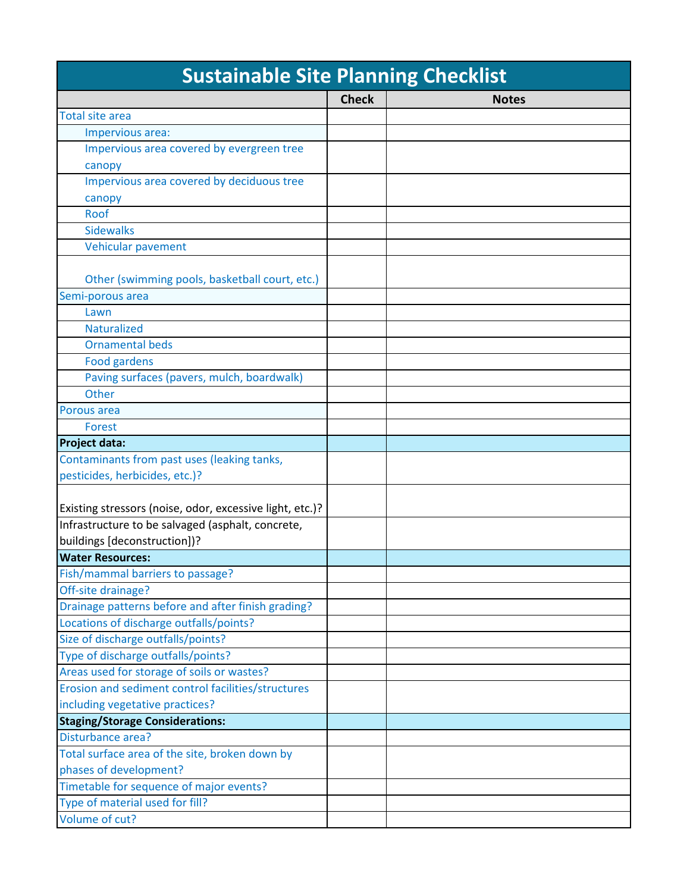| <b>Sustainable Site Planning Checklist</b>               |              |              |
|----------------------------------------------------------|--------------|--------------|
|                                                          | <b>Check</b> | <b>Notes</b> |
| <b>Total site area</b>                                   |              |              |
| Impervious area:                                         |              |              |
| Impervious area covered by evergreen tree                |              |              |
| canopy                                                   |              |              |
| Impervious area covered by deciduous tree                |              |              |
| canopy                                                   |              |              |
| Roof                                                     |              |              |
| <b>Sidewalks</b>                                         |              |              |
| Vehicular pavement                                       |              |              |
| Other (swimming pools, basketball court, etc.)           |              |              |
| Semi-porous area                                         |              |              |
| Lawn                                                     |              |              |
| <b>Naturalized</b>                                       |              |              |
| <b>Ornamental beds</b>                                   |              |              |
| <b>Food gardens</b>                                      |              |              |
| Paving surfaces (pavers, mulch, boardwalk)               |              |              |
| Other                                                    |              |              |
| Porous area                                              |              |              |
| <b>Forest</b>                                            |              |              |
| <b>Project data:</b>                                     |              |              |
| Contaminants from past uses (leaking tanks,              |              |              |
| pesticides, herbicides, etc.)?                           |              |              |
| Existing stressors (noise, odor, excessive light, etc.)? |              |              |
| Infrastructure to be salvaged (asphalt, concrete,        |              |              |
| buildings [deconstruction])?                             |              |              |
| <b>Water Resources:</b>                                  |              |              |
| Fish/mammal barriers to passage?                         |              |              |
| Off-site drainage?                                       |              |              |
| Drainage patterns before and after finish grading?       |              |              |
| Locations of discharge outfalls/points?                  |              |              |
| Size of discharge outfalls/points?                       |              |              |
| Type of discharge outfalls/points?                       |              |              |
| Areas used for storage of soils or wastes?               |              |              |
| Erosion and sediment control facilities/structures       |              |              |
| including vegetative practices?                          |              |              |
| <b>Staging/Storage Considerations:</b>                   |              |              |
| Disturbance area?                                        |              |              |
| Total surface area of the site, broken down by           |              |              |
| phases of development?                                   |              |              |
| Timetable for sequence of major events?                  |              |              |
| Type of material used for fill?                          |              |              |
| Volume of cut?                                           |              |              |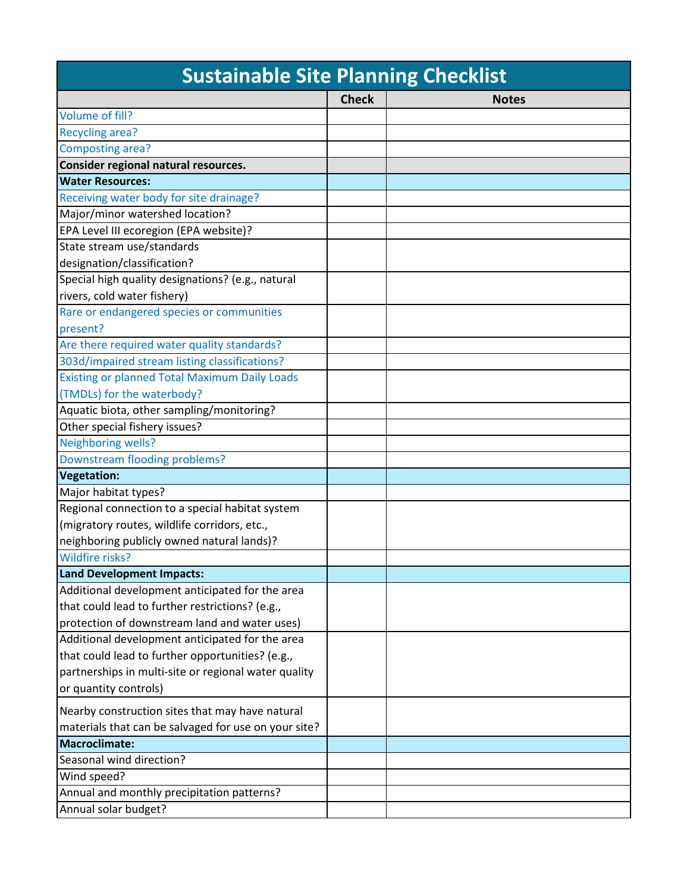| <b>Sustainable Site Planning Checklist</b>           |              |              |
|------------------------------------------------------|--------------|--------------|
|                                                      | <b>Check</b> | <b>Notes</b> |
| Volume of fill?                                      |              |              |
| <b>Recycling area?</b>                               |              |              |
| Composting area?                                     |              |              |
| Consider regional natural resources.                 |              |              |
| <b>Water Resources:</b>                              |              |              |
| Receiving water body for site drainage?              |              |              |
| Major/minor watershed location?                      |              |              |
| EPA Level III ecoregion (EPA website)?               |              |              |
| State stream use/standards                           |              |              |
| designation/classification?                          |              |              |
| Special high quality designations? (e.g., natural    |              |              |
| rivers, cold water fishery)                          |              |              |
| Rare or endangered species or communities            |              |              |
| present?                                             |              |              |
| Are there required water quality standards?          |              |              |
| 303d/impaired stream listing classifications?        |              |              |
| <b>Existing or planned Total Maximum Daily Loads</b> |              |              |
| (TMDLs) for the waterbody?                           |              |              |
| Aquatic biota, other sampling/monitoring?            |              |              |
| Other special fishery issues?                        |              |              |
| Neighboring wells?                                   |              |              |
| Downstream flooding problems?                        |              |              |
| Vegetation:                                          |              |              |
| Major habitat types?                                 |              |              |
| Regional connection to a special habitat system      |              |              |
| (migratory routes, wildlife corridors, etc.,         |              |              |
| neighboring publicly owned natural lands)?           |              |              |
| Wildfire risks?                                      |              |              |
| <b>Land Development Impacts:</b>                     |              |              |
| Additional development anticipated for the area      |              |              |
| that could lead to further restrictions? (e.g.,      |              |              |
| protection of downstream land and water uses)        |              |              |
| Additional development anticipated for the area      |              |              |
| that could lead to further opportunities? (e.g.,     |              |              |
| partnerships in multi-site or regional water quality |              |              |
| or quantity controls)                                |              |              |
| Nearby construction sites that may have natural      |              |              |
| materials that can be salvaged for use on your site? |              |              |
| <b>Macroclimate:</b>                                 |              |              |
| Seasonal wind direction?                             |              |              |
| Wind speed?                                          |              |              |
| Annual and monthly precipitation patterns?           |              |              |
| Annual solar budget?                                 |              |              |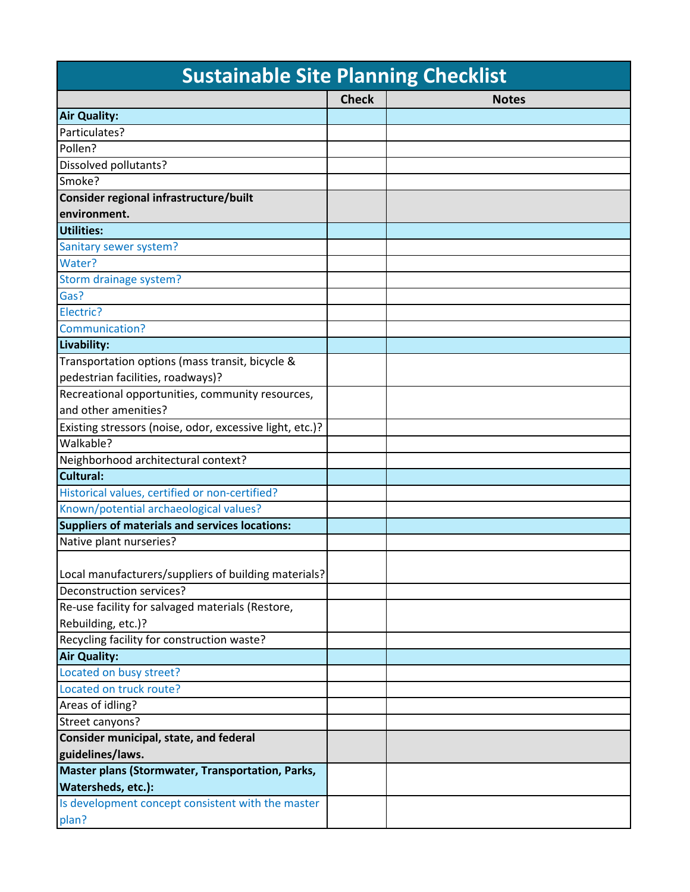| <b>Sustainable Site Planning Checklist</b>               |              |              |
|----------------------------------------------------------|--------------|--------------|
|                                                          | <b>Check</b> | <b>Notes</b> |
| <b>Air Quality:</b>                                      |              |              |
| Particulates?                                            |              |              |
| Pollen?                                                  |              |              |
| Dissolved pollutants?                                    |              |              |
| Smoke?                                                   |              |              |
| Consider regional infrastructure/built                   |              |              |
| environment.                                             |              |              |
| Utilities:                                               |              |              |
| Sanitary sewer system?                                   |              |              |
| Water?                                                   |              |              |
| Storm drainage system?                                   |              |              |
| Gas?                                                     |              |              |
| Electric?                                                |              |              |
| Communication?                                           |              |              |
| Livability:                                              |              |              |
| Transportation options (mass transit, bicycle &          |              |              |
| pedestrian facilities, roadways)?                        |              |              |
| Recreational opportunities, community resources,         |              |              |
| and other amenities?                                     |              |              |
| Existing stressors (noise, odor, excessive light, etc.)? |              |              |
| Walkable?                                                |              |              |
| Neighborhood architectural context?                      |              |              |
| Cultural:                                                |              |              |
| Historical values, certified or non-certified?           |              |              |
| Known/potential archaeological values?                   |              |              |
| Suppliers of materials and services locations:           |              |              |
| Native plant nurseries?                                  |              |              |
|                                                          |              |              |
| Local manufacturers/suppliers of building materials?     |              |              |
| Deconstruction services?                                 |              |              |
| Re-use facility for salvaged materials (Restore,         |              |              |
| Rebuilding, etc.)?                                       |              |              |
| Recycling facility for construction waste?               |              |              |
| <b>Air Quality:</b>                                      |              |              |
| Located on busy street?                                  |              |              |
| Located on truck route?                                  |              |              |
| Areas of idling?                                         |              |              |
| Street canyons?                                          |              |              |
| Consider municipal, state, and federal                   |              |              |
| guidelines/laws.                                         |              |              |
| Master plans (Stormwater, Transportation, Parks,         |              |              |
| Watersheds, etc.):                                       |              |              |
| Is development concept consistent with the master        |              |              |
| plan?                                                    |              |              |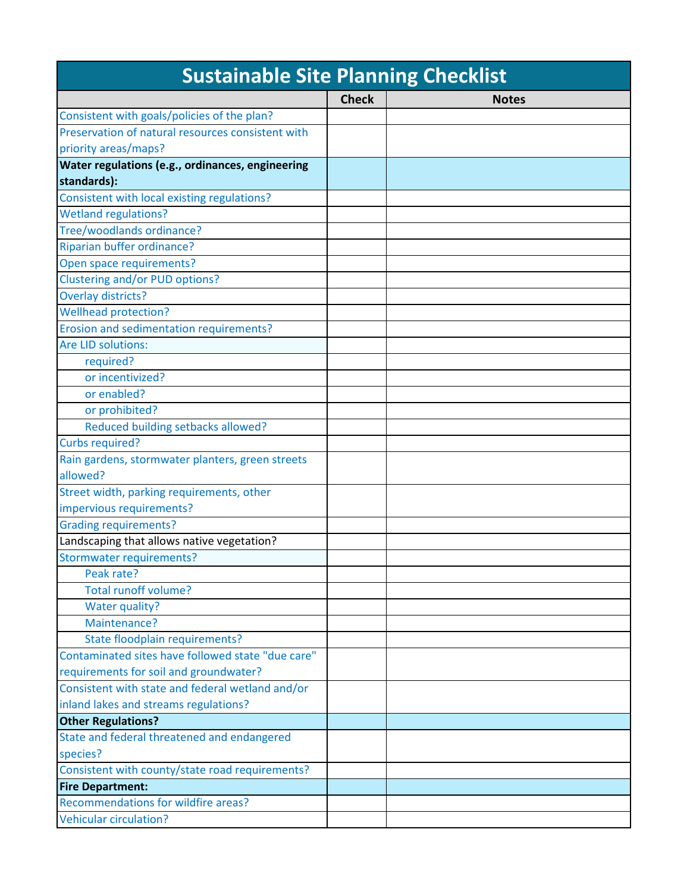| <b>Sustainable Site Planning Checklist</b>        |              |              |
|---------------------------------------------------|--------------|--------------|
|                                                   | <b>Check</b> | <b>Notes</b> |
| Consistent with goals/policies of the plan?       |              |              |
| Preservation of natural resources consistent with |              |              |
| priority areas/maps?                              |              |              |
| Water regulations (e.g., ordinances, engineering  |              |              |
| standards):                                       |              |              |
| Consistent with local existing regulations?       |              |              |
| <b>Wetland regulations?</b>                       |              |              |
| Tree/woodlands ordinance?                         |              |              |
| Riparian buffer ordinance?                        |              |              |
| Open space requirements?                          |              |              |
| Clustering and/or PUD options?                    |              |              |
| Overlay districts?                                |              |              |
| <b>Wellhead protection?</b>                       |              |              |
| Erosion and sedimentation requirements?           |              |              |
| Are LID solutions:                                |              |              |
| required?                                         |              |              |
| or incentivized?                                  |              |              |
| or enabled?                                       |              |              |
| or prohibited?                                    |              |              |
| Reduced building setbacks allowed?                |              |              |
| <b>Curbs required?</b>                            |              |              |
| Rain gardens, stormwater planters, green streets  |              |              |
| allowed?                                          |              |              |
| Street width, parking requirements, other         |              |              |
| impervious requirements?                          |              |              |
| <b>Grading requirements?</b>                      |              |              |
| Landscaping that allows native vegetation?        |              |              |
| <b>Stormwater requirements?</b>                   |              |              |
| Peak rate?                                        |              |              |
| <b>Total runoff volume?</b>                       |              |              |
| Water quality?                                    |              |              |
| Maintenance?                                      |              |              |
| State floodplain requirements?                    |              |              |
| Contaminated sites have followed state "due care" |              |              |
| requirements for soil and groundwater?            |              |              |
| Consistent with state and federal wetland and/or  |              |              |
| inland lakes and streams regulations?             |              |              |
| <b>Other Regulations?</b>                         |              |              |
| State and federal threatened and endangered       |              |              |
| species?                                          |              |              |
| Consistent with county/state road requirements?   |              |              |
| <b>Fire Department:</b>                           |              |              |
| Recommendations for wildfire areas?               |              |              |
| <b>Vehicular circulation?</b>                     |              |              |